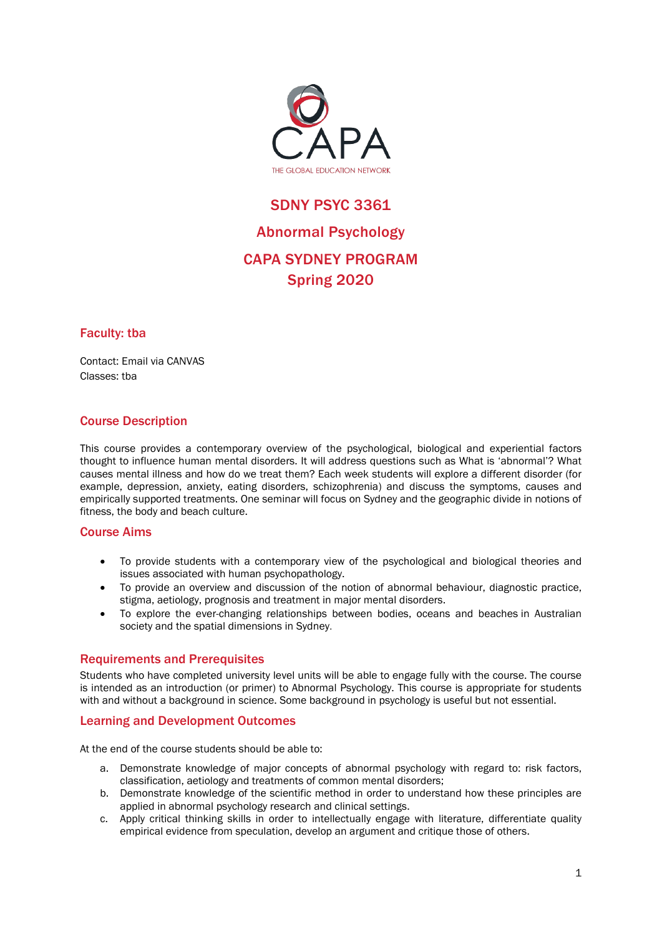

# SDNY PSYC 3361 Abnormal Psychology CAPA SYDNEY PROGRAM Spring 2020

## Faculty: tba

Contact: Email via CANVAS Classes: tba

## Course Description

This course provides a contemporary overview of the psychological, biological and experiential factors thought to influence human mental disorders. It will address questions such as What is 'abnormal'? What causes mental illness and how do we treat them? Each week students will explore a different disorder (for example, depression, anxiety, eating disorders, schizophrenia) and discuss the symptoms, causes and empirically supported treatments. One seminar will focus on Sydney and the geographic divide in notions of fitness, the body and beach culture.

## Course Aims

- To provide students with a contemporary view of the psychological and biological theories and issues associated with human psychopathology.
- To provide an overview and discussion of the notion of abnormal behaviour, diagnostic practice, stigma, aetiology, prognosis and treatment in major mental disorders.
- To explore the ever-changing relationships between bodies, oceans and beaches in Australian society and the spatial dimensions in Sydney.

## Requirements and Prerequisites

Students who have completed university level units will be able to engage fully with the course. The course is intended as an introduction (or primer) to Abnormal Psychology. This course is appropriate for students with and without a background in science. Some background in psychology is useful but not essential.

## Learning and Development Outcomes

At the end of the course students should be able to:

- a. Demonstrate knowledge of major concepts of abnormal psychology with regard to: risk factors, classification, aetiology and treatments of common mental disorders;
- b. Demonstrate knowledge of the scientific method in order to understand how these principles are applied in abnormal psychology research and clinical settings.
- c. Apply critical thinking skills in order to intellectually engage with literature, differentiate quality empirical evidence from speculation, develop an argument and critique those of others.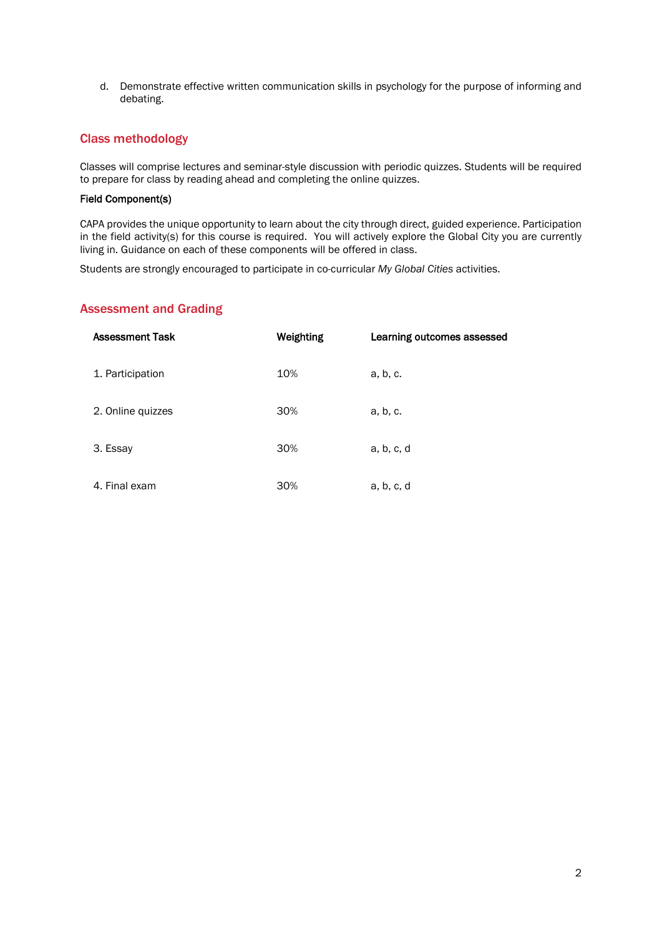d. Demonstrate effective written communication skills in psychology for the purpose of informing and debating.

## Class methodology

Classes will comprise lectures and seminar-style discussion with periodic quizzes. Students will be required to prepare for class by reading ahead and completing the online quizzes.

#### Field Component(s)

CAPA provides the unique opportunity to learn about the city through direct, guided experience. Participation in the field activity(s) for this course is required. You will actively explore the Global City you are currently living in. Guidance on each of these components will be offered in class.

Students are strongly encouraged to participate in co-curricular *My Global Cities* activities.

## Assessment and Grading

| <b>Assessment Task</b> | Weighting | Learning outcomes assessed |
|------------------------|-----------|----------------------------|
| 1. Participation       | 10%       | a, b, c.                   |
| 2. Online quizzes      | 30%       | a, b, c.                   |
| 3. Essay               | 30%       | a, b, c, d                 |
| 4. Final exam          | 30%       | a, b, c, d                 |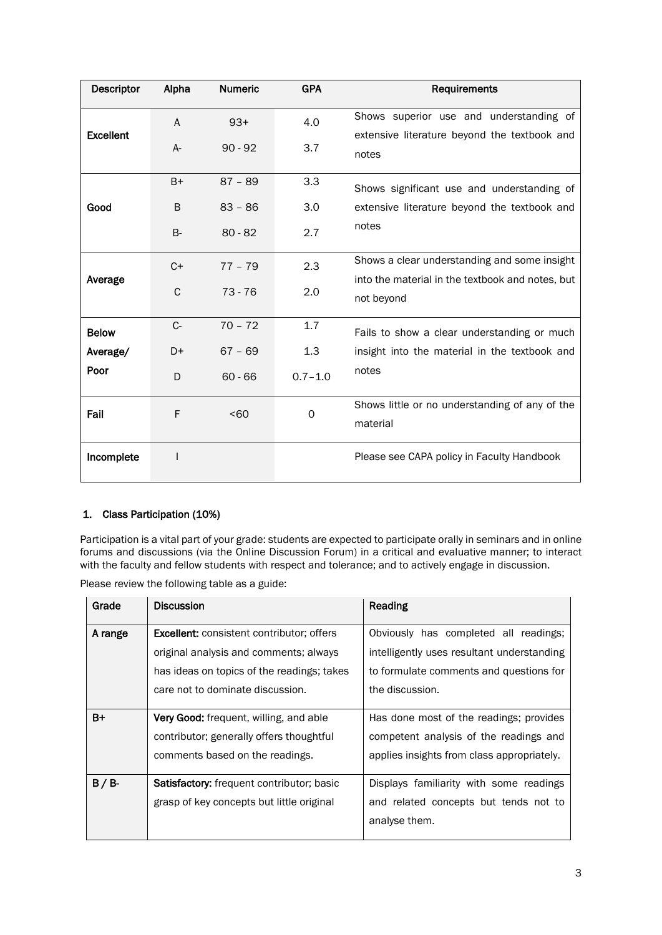| Descriptor       | Alpha | <b>Numeric</b> | <b>GPA</b>  | Requirements                                                   |
|------------------|-------|----------------|-------------|----------------------------------------------------------------|
| <b>Excellent</b> | A     | $93+$          | 4.0         | Shows superior use and understanding of                        |
|                  | $A -$ | $90 - 92$      | 3.7         | extensive literature beyond the textbook and<br>notes          |
|                  | $B+$  | $87 - 89$      | 3.3         | Shows significant use and understanding of                     |
| Good             | B     | $83 - 86$      | 3.0         | extensive literature beyond the textbook and                   |
|                  | $B -$ | $80 - 82$      | 2.7         | notes                                                          |
| Average          | $C+$  | $77 - 79$      | 2.3         | Shows a clear understanding and some insight                   |
|                  | C     | $73 - 76$      | 2.0         | into the material in the textbook and notes, but<br>not beyond |
| <b>Below</b>     | $C -$ | $70 - 72$      | 1.7         | Fails to show a clear understanding or much                    |
| Average/         | D+    | $67 - 69$      | 1.3         | insight into the material in the textbook and                  |
| Poor             | D     | $60 - 66$      | $0.7 - 1.0$ | notes                                                          |
| Fail             | F     | < 60           | 0           | Shows little or no understanding of any of the<br>material     |
| Incomplete       |       |                |             | Please see CAPA policy in Faculty Handbook                     |

## 1. Class Participation (10%)

Participation is a vital part of your grade: students are expected to participate orally in seminars and in online forums and discussions (via the Online Discussion Forum) in a critical and evaluative manner; to interact with the faculty and fellow students with respect and tolerance; and to actively engage in discussion.

Please review the following table as a guide:

| Grade   | <b>Discussion</b>                                | Reading                                    |
|---------|--------------------------------------------------|--------------------------------------------|
| A range | <b>Excellent:</b> consistent contributor; offers | Obviously has completed all readings;      |
|         | original analysis and comments; always           | intelligently uses resultant understanding |
|         | has ideas on topics of the readings; takes       | to formulate comments and questions for    |
|         | care not to dominate discussion.                 | the discussion.                            |
| B+      | <b>Very Good:</b> frequent, willing, and able    | Has done most of the readings; provides    |
|         | contributor; generally offers thoughtful         | competent analysis of the readings and     |
|         | comments based on the readings.                  | applies insights from class appropriately. |
| $B/B$ - | <b>Satisfactory:</b> frequent contributor; basic | Displays familiarity with some readings    |
|         | grasp of key concepts but little original        | and related concepts but tends not to      |
|         |                                                  | analyse them.                              |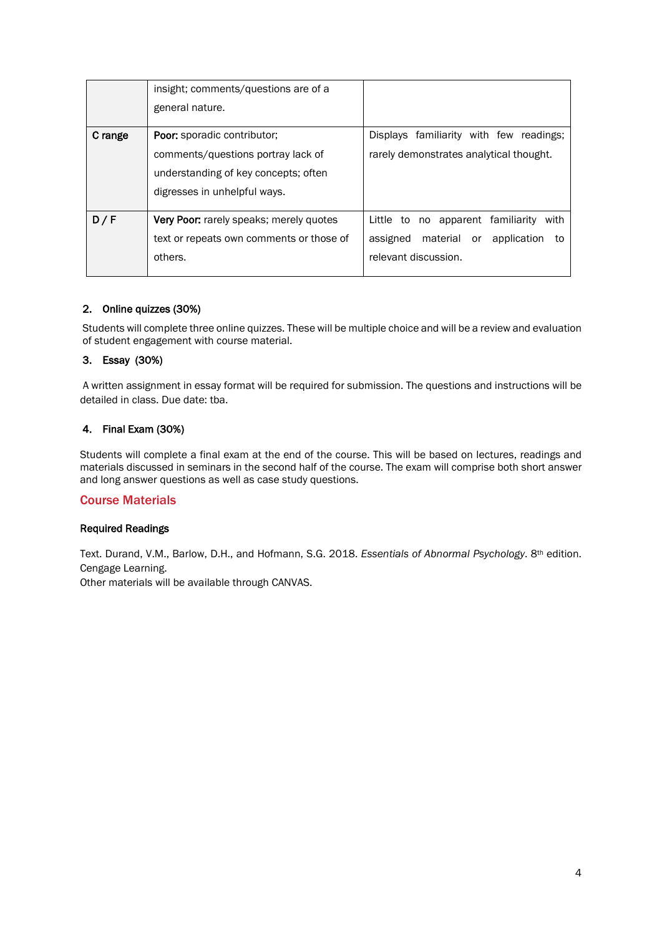|         | insight; comments/questions are of a           |                                                 |
|---------|------------------------------------------------|-------------------------------------------------|
|         | general nature.                                |                                                 |
| C range | <b>Poor:</b> sporadic contributor:             | Displays familiarity with few readings:         |
|         | comments/questions portray lack of             | rarely demonstrates analytical thought.         |
|         | understanding of key concepts; often           |                                                 |
|         | digresses in unhelpful ways.                   |                                                 |
| D/F     | <b>Very Poor:</b> rarely speaks; merely quotes | Little to no apparent familiarity<br>with       |
|         | text or repeats own comments or those of       | material<br>assigned<br>application<br>or<br>to |
|         | others.                                        | relevant discussion.                            |
|         |                                                |                                                 |

## 2. Online quizzes (30%)

Students will complete three online quizzes. These will be multiple choice and will be a review and evaluation of student engagement with course material.

## 3. Essay (30%)

A written assignment in essay format will be required for submission. The questions and instructions will be detailed in class. Due date: tba.

## 4. Final Exam (30%)

Students will complete a final exam at the end of the course. This will be based on lectures, readings and materials discussed in seminars in the second half of the course. The exam will comprise both short answer and long answer questions as well as case study questions.

## Course Materials

#### Required Readings

Text. Durand, V.M., Barlow, D.H., and Hofmann, S.G. 2018. *Essentials of Abnormal Psychology*. 8th edition. Cengage Learning.

Other materials will be available through CANVAS.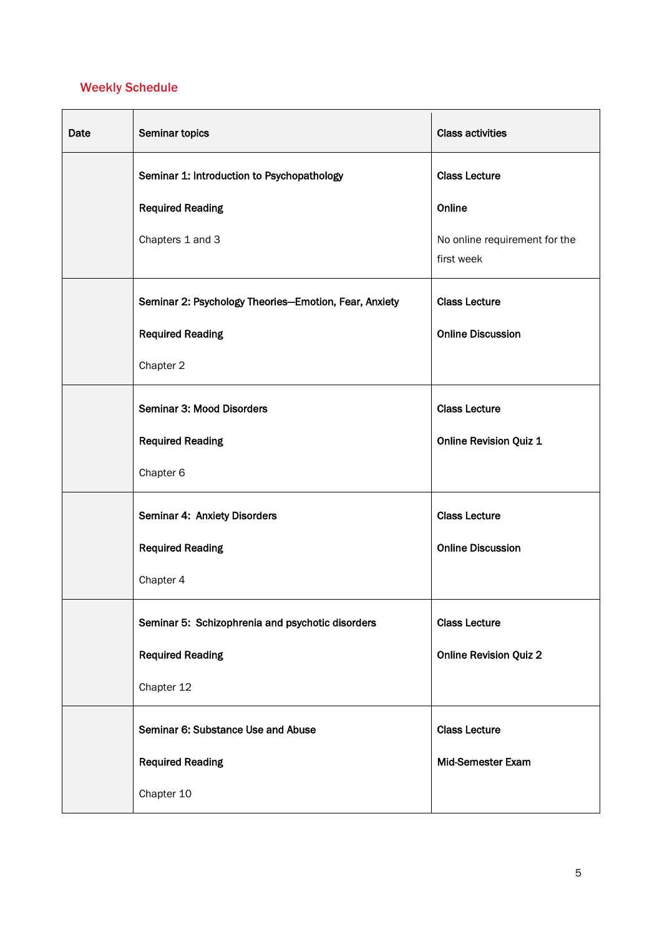## Weekly Schedule

| Date | Seminar topics                                        | <b>Class activities</b>                     |
|------|-------------------------------------------------------|---------------------------------------------|
|      | Seminar 1: Introduction to Psychopathology            | <b>Class Lecture</b>                        |
|      | <b>Required Reading</b>                               | Online                                      |
|      | Chapters 1 and 3                                      | No online requirement for the<br>first week |
|      | Seminar 2: Psychology Theories-Emotion, Fear, Anxiety | <b>Class Lecture</b>                        |
|      | <b>Required Reading</b>                               | <b>Online Discussion</b>                    |
|      | Chapter 2                                             |                                             |
|      | Seminar 3: Mood Disorders                             | <b>Class Lecture</b>                        |
|      | <b>Required Reading</b>                               | <b>Online Revision Quiz 1</b>               |
|      | Chapter 6                                             |                                             |
|      | Seminar 4: Anxiety Disorders                          | <b>Class Lecture</b>                        |
|      | <b>Required Reading</b>                               | <b>Online Discussion</b>                    |
|      | Chapter 4                                             |                                             |
|      | Seminar 5: Schizophrenia and psychotic disorders      | <b>Class Lecture</b>                        |
|      | <b>Required Reading</b>                               | <b>Online Revision Quiz 2</b>               |
|      | Chapter 12                                            |                                             |
|      | Seminar 6: Substance Use and Abuse                    | <b>Class Lecture</b>                        |
|      | <b>Required Reading</b>                               | Mid-Semester Exam                           |
|      | Chapter 10                                            |                                             |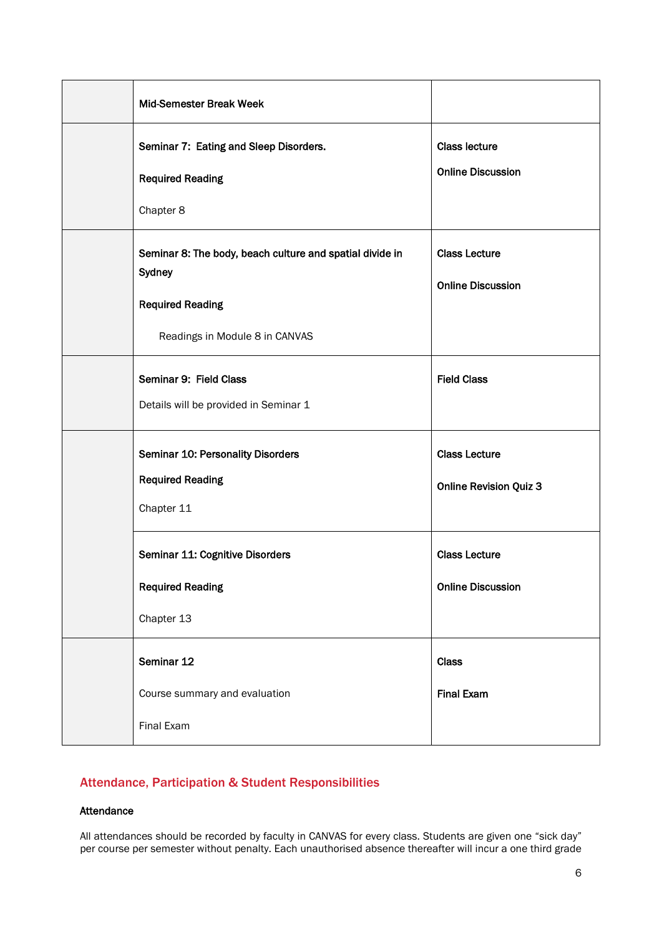| Mid-Semester Break Week                                                                                                         |                                                       |
|---------------------------------------------------------------------------------------------------------------------------------|-------------------------------------------------------|
| Seminar 7: Eating and Sleep Disorders.<br><b>Required Reading</b><br>Chapter 8                                                  | <b>Class lecture</b><br><b>Online Discussion</b>      |
| Seminar 8: The body, beach culture and spatial divide in<br>Sydney<br><b>Required Reading</b><br>Readings in Module 8 in CANVAS | <b>Class Lecture</b><br><b>Online Discussion</b>      |
| Seminar 9: Field Class<br>Details will be provided in Seminar 1                                                                 | <b>Field Class</b>                                    |
| <b>Seminar 10: Personality Disorders</b><br><b>Required Reading</b><br>Chapter 11                                               | <b>Class Lecture</b><br><b>Online Revision Quiz 3</b> |
| Seminar 11: Cognitive Disorders<br><b>Required Reading</b><br>Chapter 13                                                        | <b>Class Lecture</b><br><b>Online Discussion</b>      |
| Seminar 12<br>Course summary and evaluation<br>Final Exam                                                                       | Class<br><b>Final Exam</b>                            |

## Attendance, Participation & Student Responsibilities

#### Attendance

All attendances should be recorded by faculty in CANVAS for every class. Students are given one "sick day" per course per semester without penalty. Each unauthorised absence thereafter will incur a one third grade